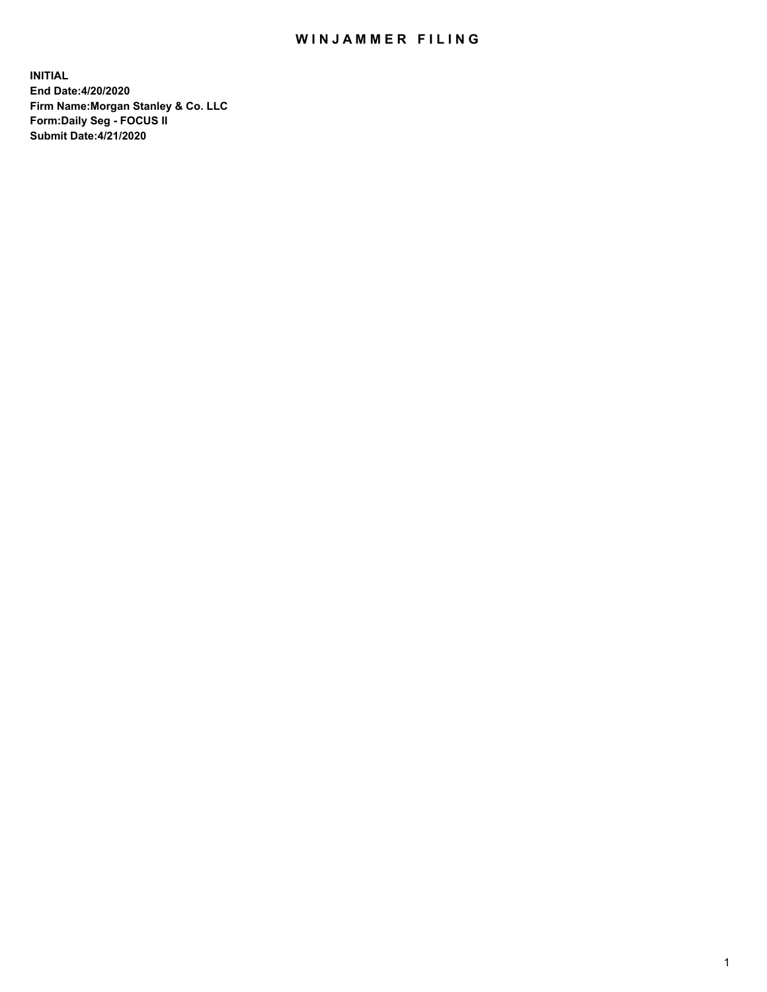## WIN JAMMER FILING

**INITIAL End Date:4/20/2020 Firm Name:Morgan Stanley & Co. LLC Form:Daily Seg - FOCUS II Submit Date:4/21/2020**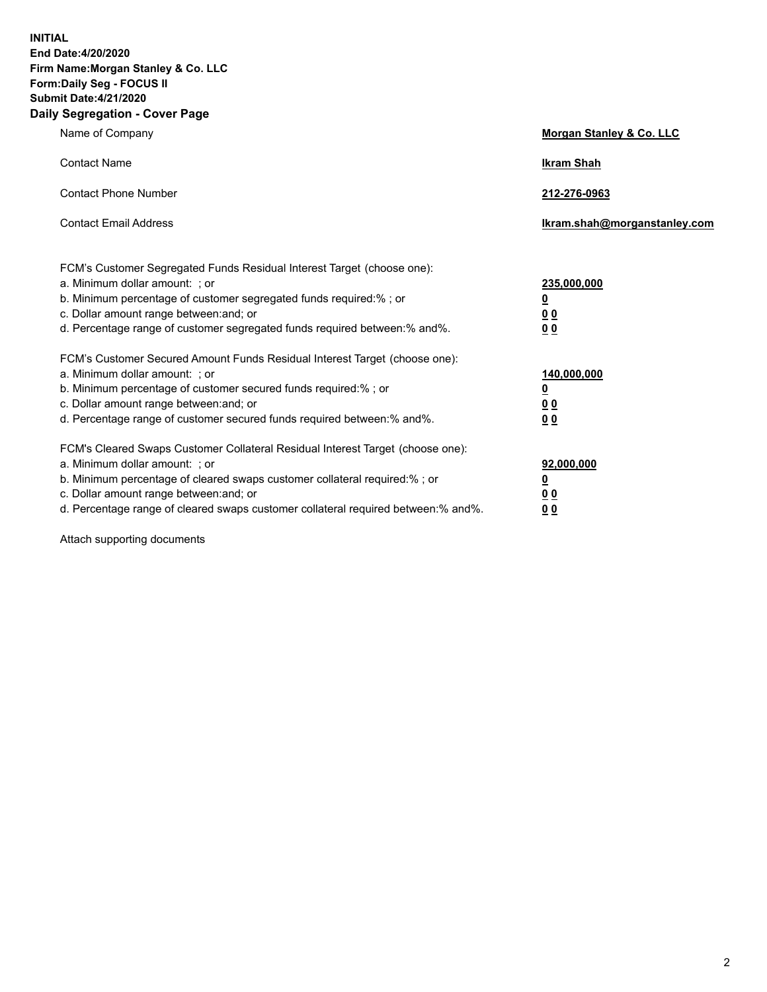**INITIAL End Date:4/20/2020 Firm Name:Morgan Stanley & Co. LLC Form:Daily Seg - FOCUS II Submit Date:4/21/2020 Daily Segregation - Cover Page**

| Name of Company                                                                                                                                                                                                                                                                                                                | Morgan Stanley & Co. LLC                                |
|--------------------------------------------------------------------------------------------------------------------------------------------------------------------------------------------------------------------------------------------------------------------------------------------------------------------------------|---------------------------------------------------------|
| <b>Contact Name</b>                                                                                                                                                                                                                                                                                                            | <b>Ikram Shah</b>                                       |
| <b>Contact Phone Number</b>                                                                                                                                                                                                                                                                                                    | 212-276-0963                                            |
| <b>Contact Email Address</b>                                                                                                                                                                                                                                                                                                   | Ikram.shah@morganstanley.com                            |
| FCM's Customer Segregated Funds Residual Interest Target (choose one):<br>a. Minimum dollar amount: ; or<br>b. Minimum percentage of customer segregated funds required:% ; or<br>c. Dollar amount range between: and; or<br>d. Percentage range of customer segregated funds required between:% and%.                         | 235,000,000<br><u>0</u><br><u>00</u><br><u>00</u>       |
| FCM's Customer Secured Amount Funds Residual Interest Target (choose one):<br>a. Minimum dollar amount: ; or<br>b. Minimum percentage of customer secured funds required:%; or<br>c. Dollar amount range between: and; or<br>d. Percentage range of customer secured funds required between:% and%.                            | 140,000,000<br><u>0</u><br><u>0 0</u><br>0 <sub>0</sub> |
| FCM's Cleared Swaps Customer Collateral Residual Interest Target (choose one):<br>a. Minimum dollar amount: ; or<br>b. Minimum percentage of cleared swaps customer collateral required:% ; or<br>c. Dollar amount range between: and; or<br>d. Percentage range of cleared swaps customer collateral required between:% and%. | 92,000,000<br><u>0</u><br><u>00</u><br>00               |

Attach supporting documents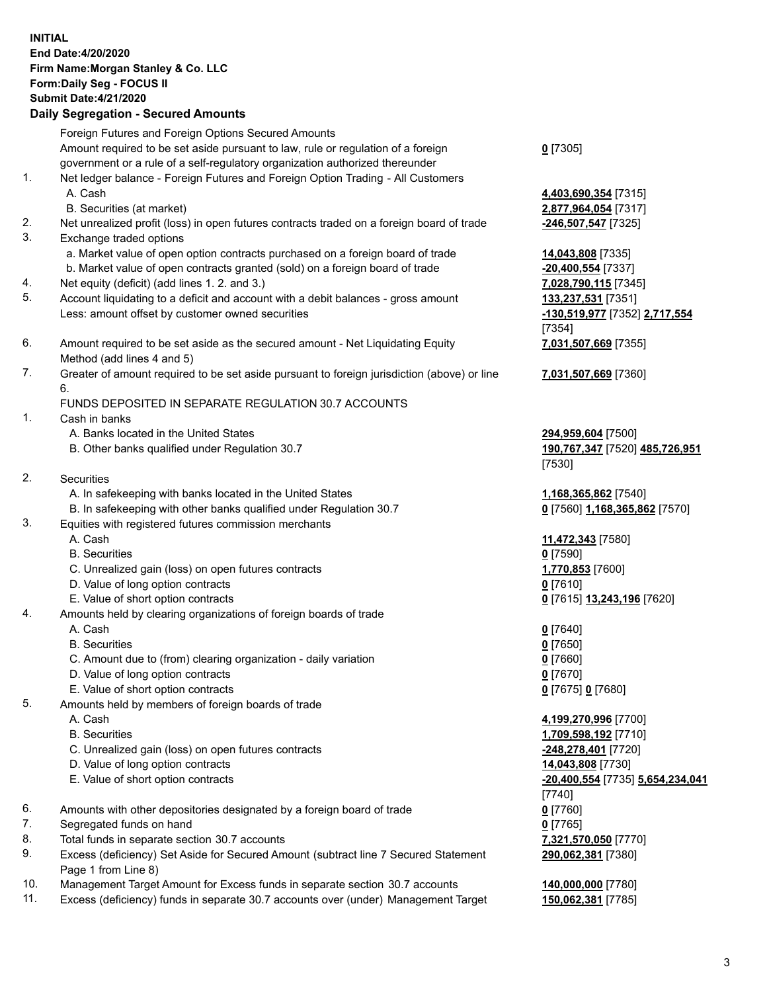## **INITIAL End Date:4/20/2020 Firm Name:Morgan Stanley & Co. LLC Form:Daily Seg - FOCUS II Submit Date:4/21/2020 Daily Segregation - Secured Amounts** Foreign Futures and Foreign Options Secured Amounts Amount required to be set aside pursuant to law, rule or regulation of a foreign government or a rule of a self-regulatory organization authorized thereunder **0** [7305] 1. Net ledger balance - Foreign Futures and Foreign Option Trading - All Customers A. Cash **4,403,690,354** [7315] B. Securities (at market) **2,877,964,054** [7317] 2. Net unrealized profit (loss) in open futures contracts traded on a foreign board of trade **-246,507,547** [7325] 3. Exchange traded options a. Market value of open option contracts purchased on a foreign board of trade **14,043,808** [7335] b. Market value of open contracts granted (sold) on a foreign board of trade **-20,400,554** [7337] 4. Net equity (deficit) (add lines 1. 2. and 3.) **7,028,790,115** [7345] 5. Account liquidating to a deficit and account with a debit balances - gross amount **133,237,531** [7351] Less: amount offset by customer owned securities **-130,519,977** [7352] **2,717,554** [7354] 6. Amount required to be set aside as the secured amount - Net Liquidating Equity Method (add lines 4 and 5) **7,031,507,669** [7355] 7. Greater of amount required to be set aside pursuant to foreign jurisdiction (above) or line 6. **7,031,507,669** [7360] FUNDS DEPOSITED IN SEPARATE REGULATION 30.7 ACCOUNTS 1. Cash in banks A. Banks located in the United States **294,959,604** [7500] B. Other banks qualified under Regulation 30.7 **190,767,347** [7520] **485,726,951** [7530] 2. Securities A. In safekeeping with banks located in the United States **1,168,365,862** [7540] B. In safekeeping with other banks qualified under Regulation 30.7 **0** [7560] **1,168,365,862** [7570] 3. Equities with registered futures commission merchants A. Cash **11,472,343** [7580] B. Securities **0** [7590] C. Unrealized gain (loss) on open futures contracts **1,770,853** [7600] D. Value of long option contracts **0** [7610] E. Value of short option contracts **0** [7615] **13,243,196** [7620] 4. Amounts held by clearing organizations of foreign boards of trade A. Cash **0** [7640] B. Securities **0** [7650] C. Amount due to (from) clearing organization - daily variation **0** [7660] D. Value of long option contracts **0** [7670] E. Value of short option contracts **0** [7675] **0** [7680] 5. Amounts held by members of foreign boards of trade A. Cash **4,199,270,996** [7700] B. Securities **1,709,598,192** [7710] C. Unrealized gain (loss) on open futures contracts **-248,278,401** [7720] D. Value of long option contracts **14,043,808** [7730] E. Value of short option contracts **-20,400,554** [7735] **5,654,234,041** [7740] 6. Amounts with other depositories designated by a foreign board of trade **0** [7760] 7. Segregated funds on hand **0** [7765] 8. Total funds in separate section 30.7 accounts **7,321,570,050** [7770] 9. Excess (deficiency) Set Aside for Secured Amount (subtract line 7 Secured Statement Page 1 from Line 8) **290,062,381** [7380]

- 10. Management Target Amount for Excess funds in separate section 30.7 accounts **140,000,000** [7780]
- 11. Excess (deficiency) funds in separate 30.7 accounts over (under) Management Target **150,062,381** [7785]

3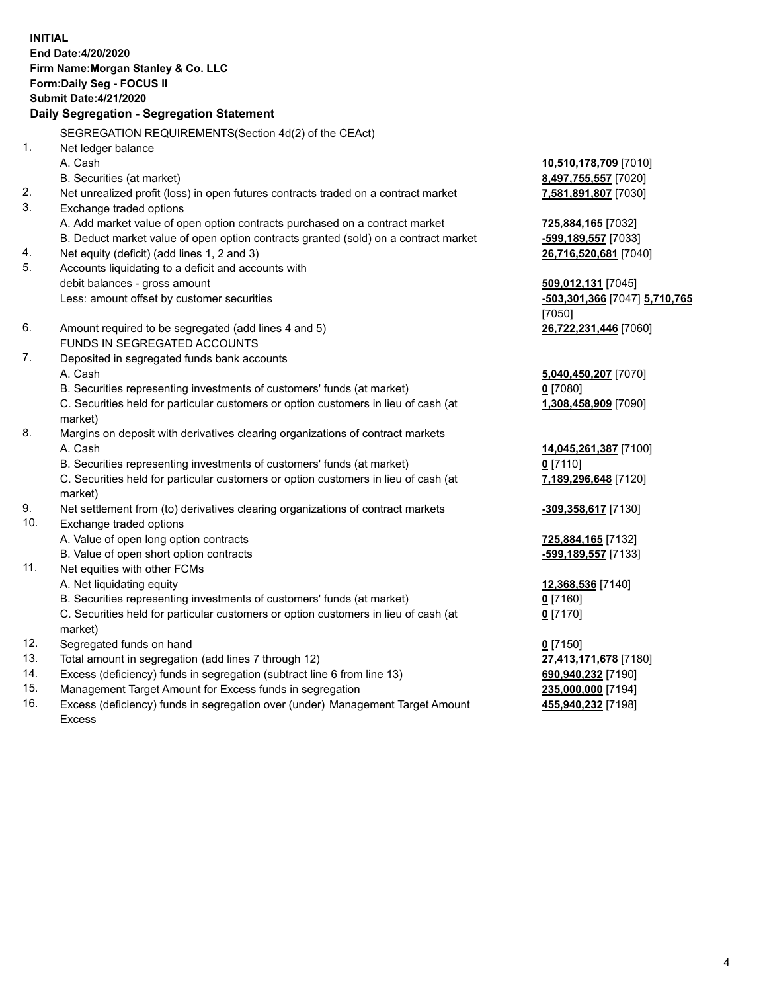**INITIAL End Date:4/20/2020 Firm Name:Morgan Stanley & Co. LLC Form:Daily Seg - FOCUS II Submit Date:4/21/2020 Daily Segregation - Segregation Statement** SEGREGATION REQUIREMENTS(Section 4d(2) of the CEAct) 1. Net ledger balance A. Cash **10,510,178,709** [7010] B. Securities (at market) **8,497,755,557** [7020] 2. Net unrealized profit (loss) in open futures contracts traded on a contract market **7,581,891,807** [7030] 3. Exchange traded options A. Add market value of open option contracts purchased on a contract market **725,884,165** [7032] B. Deduct market value of open option contracts granted (sold) on a contract market **-599,189,557** [7033] 4. Net equity (deficit) (add lines 1, 2 and 3) **26,716,520,681** [7040] 5. Accounts liquidating to a deficit and accounts with debit balances - gross amount **509,012,131** [7045] Less: amount offset by customer securities **-503,301,366** [7047] **5,710,765** [7050] 6. Amount required to be segregated (add lines 4 and 5) **26,722,231,446** [7060] FUNDS IN SEGREGATED ACCOUNTS 7. Deposited in segregated funds bank accounts A. Cash **5,040,450,207** [7070] B. Securities representing investments of customers' funds (at market) **0** [7080] C. Securities held for particular customers or option customers in lieu of cash (at market) **1,308,458,909** [7090] 8. Margins on deposit with derivatives clearing organizations of contract markets A. Cash **14,045,261,387** [7100] B. Securities representing investments of customers' funds (at market) **0** [7110] C. Securities held for particular customers or option customers in lieu of cash (at market) **7,189,296,648** [7120] 9. Net settlement from (to) derivatives clearing organizations of contract markets **-309,358,617** [7130] 10. Exchange traded options A. Value of open long option contracts **725,884,165** [7132] B. Value of open short option contracts **and the set of our original contracts -599,189,557** [7133] 11. Net equities with other FCMs A. Net liquidating equity **12,368,536** [7140] B. Securities representing investments of customers' funds (at market) **0** [7160] C. Securities held for particular customers or option customers in lieu of cash (at market) **0** [7170] 12. Segregated funds on hand **0** [7150] 13. Total amount in segregation (add lines 7 through 12) **27,413,171,678** [7180] 14. Excess (deficiency) funds in segregation (subtract line 6 from line 13) **690,940,232** [7190] 15. Management Target Amount for Excess funds in segregation **235,000,000** [7194]

16. Excess (deficiency) funds in segregation over (under) Management Target Amount Excess

**455,940,232** [7198]